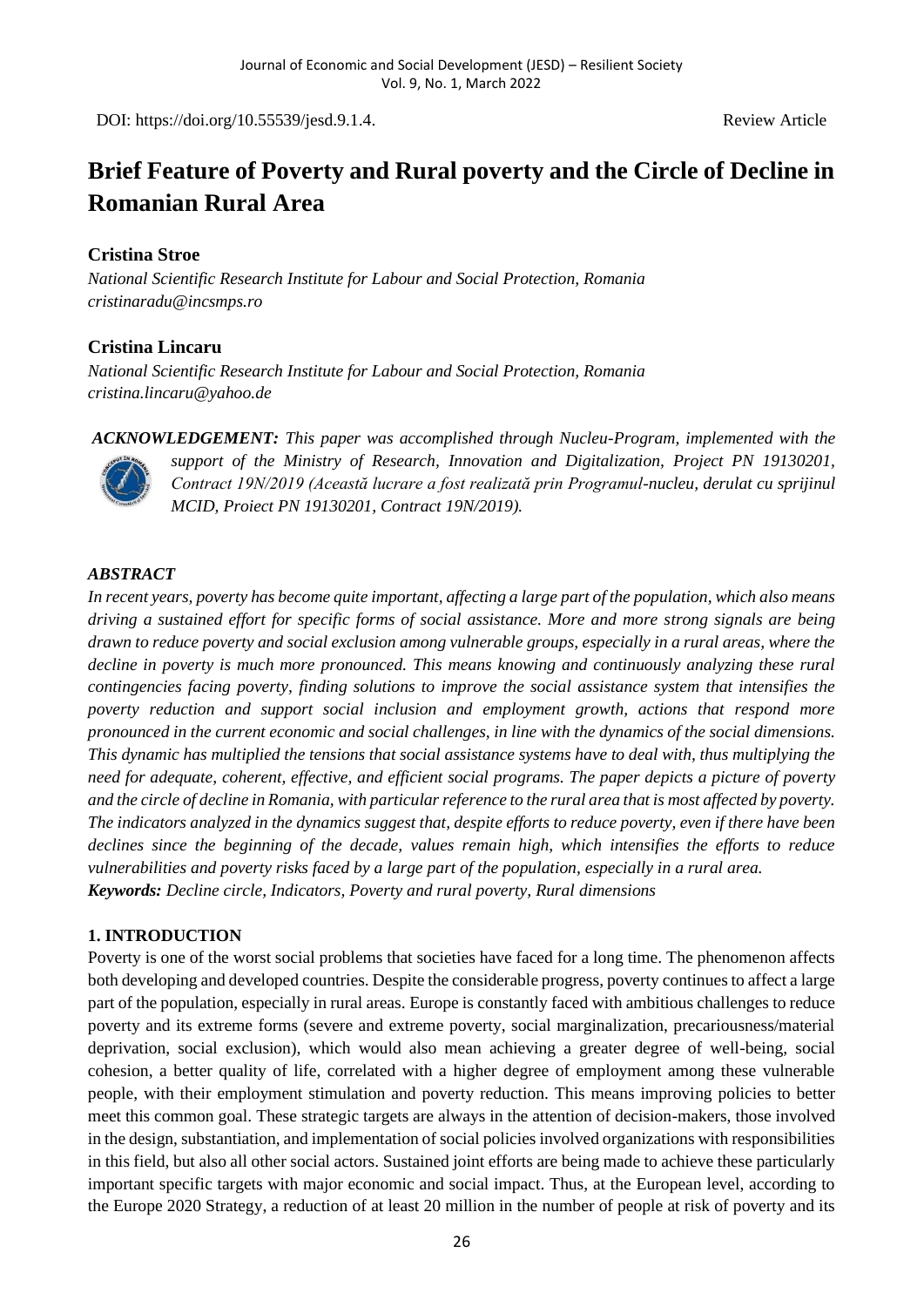DOI: https://doi.org/10.55539/jesd.9.1.4. Review Article

# **Brief Feature of Poverty and Rural poverty and the Circle of Decline in Romanian Rural Area**

## **Cristina Stroe**

*National Scientific Research Institute for Labour and Social Protection, Romania cristinaradu@incsmps.ro*

# **Cristina Lincaru**

*National Scientific Research Institute for Labour and Social Protection, Romania cristina.lincaru@yahoo.de*

*ACKNOWLEDGEMENT: This paper was accomplished through Nucleu-Program, implemented with the support of the Ministry of Research, Innovation and Digitalization, Project PN 19130201, Contract 19N/2019 (Această lucrare a fost realizată prin Programul-nucleu, derulat cu sprijinul MCID, Proiect PN 19130201, Contract 19N/2019).*

### *ABSTRACT*

*In recent years, poverty has become quite important, affecting a large part of the population, which also means driving a sustained effort for specific forms of social assistance. More and more strong signals are being drawn to reduce poverty and social exclusion among vulnerable groups, especially in a rural areas, where the decline in poverty is much more pronounced. This means knowing and continuously analyzing these rural contingencies facing poverty, finding solutions to improve the social assistance system that intensifies the poverty reduction and support social inclusion and employment growth, actions that respond more pronounced in the current economic and social challenges, in line with the dynamics of the social dimensions. This dynamic has multiplied the tensions that social assistance systems have to deal with, thus multiplying the need for adequate, coherent, effective, and efficient social programs. The paper depicts a picture of poverty and the circle of decline in Romania, with particular reference to the rural area that is most affected by poverty. The indicators analyzed in the dynamics suggest that, despite efforts to reduce poverty, even if there have been declines since the beginning of the decade, values remain high, which intensifies the efforts to reduce vulnerabilities and poverty risks faced by a large part of the population, especially in a rural area. Keywords: Decline circle, Indicators, Poverty and rural poverty, Rural dimensions*

#### **1. INTRODUCTION**

Poverty is one of the worst social problems that societies have faced for a long time. The phenomenon affects both developing and developed countries. Despite the considerable progress, poverty continues to affect a large part of the population, especially in rural areas. Europe is constantly faced with ambitious challenges to reduce poverty and its extreme forms (severe and extreme poverty, social marginalization, precariousness/material deprivation, social exclusion), which would also mean achieving a greater degree of well-being, social cohesion, a better quality of life, correlated with a higher degree of employment among these vulnerable people, with their employment stimulation and poverty reduction. This means improving policies to better meet this common goal. These strategic targets are always in the attention of decision-makers, those involved in the design, substantiation, and implementation of social policies involved organizations with responsibilities in this field, but also all other social actors. Sustained joint efforts are being made to achieve these particularly important specific targets with major economic and social impact. Thus, at the European level, according to the Europe 2020 Strategy, a reduction of at least 20 million in the number of people at risk of poverty and its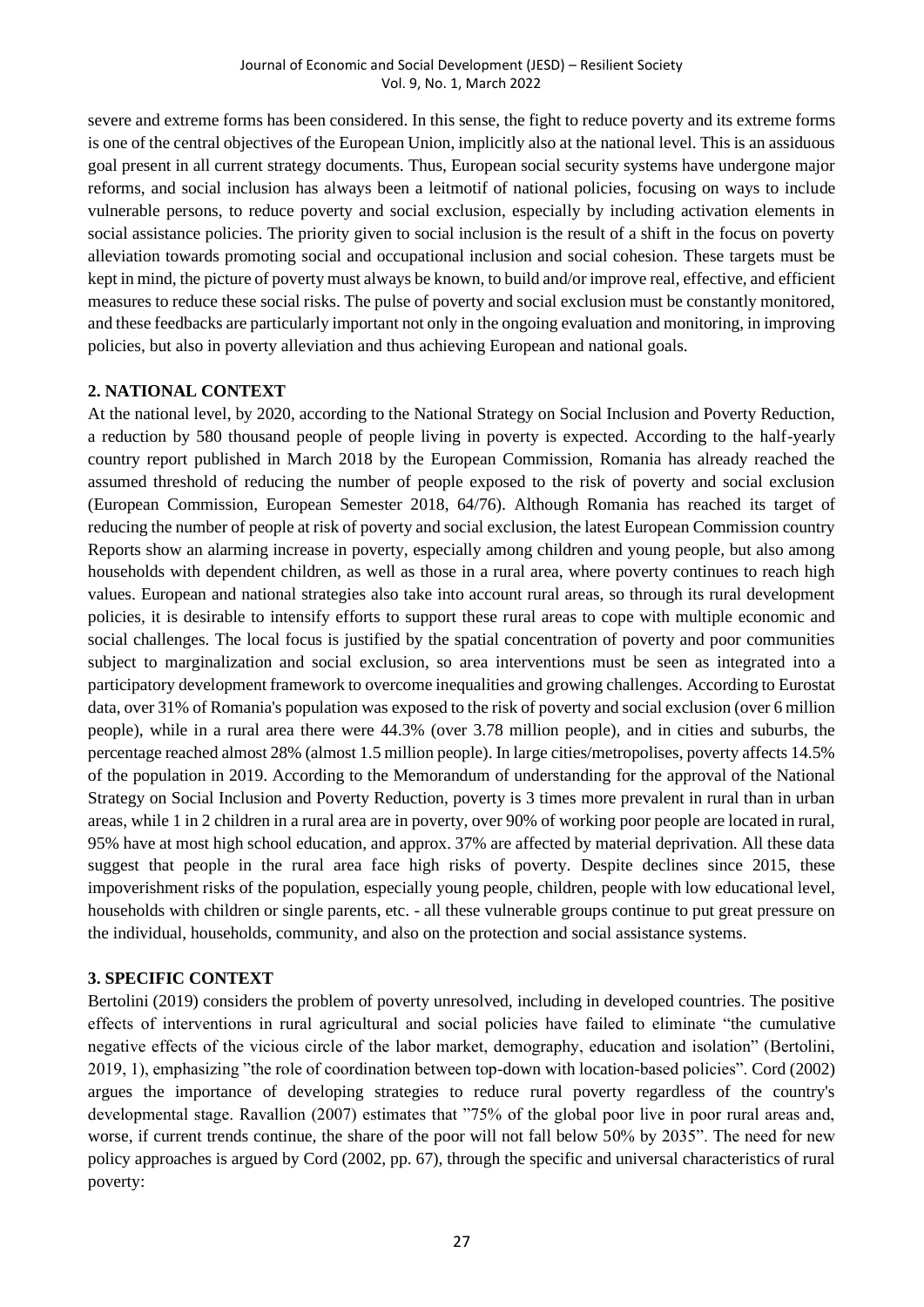severe and extreme forms has been considered. In this sense, the fight to reduce poverty and its extreme forms is one of the central objectives of the European Union, implicitly also at the national level. This is an assiduous goal present in all current strategy documents. Thus, European social security systems have undergone major reforms, and social inclusion has always been a leitmotif of national policies, focusing on ways to include vulnerable persons, to reduce poverty and social exclusion, especially by including activation elements in social assistance policies. The priority given to social inclusion is the result of a shift in the focus on poverty alleviation towards promoting social and occupational inclusion and social cohesion. These targets must be kept in mind, the picture of poverty must always be known, to build and/or improve real, effective, and efficient measures to reduce these social risks. The pulse of poverty and social exclusion must be constantly monitored, and these feedbacks are particularly important not only in the ongoing evaluation and monitoring, in improving policies, but also in poverty alleviation and thus achieving European and national goals.

#### **2. NATIONAL CONTEXT**

At the national level, by 2020, according to the National Strategy on Social Inclusion and Poverty Reduction, a reduction by 580 thousand people of people living in poverty is expected. According to the half-yearly country report published in March 2018 by the European Commission, Romania has already reached the assumed threshold of reducing the number of people exposed to the risk of poverty and social exclusion (European Commission, European Semester 2018, 64/76). Although Romania has reached its target of reducing the number of people at risk of poverty and social exclusion, the latest European Commission country Reports show an alarming increase in poverty, especially among children and young people, but also among households with dependent children, as well as those in a rural area, where poverty continues to reach high values. European and national strategies also take into account rural areas, so through its rural development policies, it is desirable to intensify efforts to support these rural areas to cope with multiple economic and social challenges. The local focus is justified by the spatial concentration of poverty and poor communities subject to marginalization and social exclusion, so area interventions must be seen as integrated into a participatory development framework to overcome inequalities and growing challenges. According to Eurostat data, over 31% of Romania's population was exposed to the risk of poverty and social exclusion (over 6 million people), while in a rural area there were 44.3% (over 3.78 million people), and in cities and suburbs, the percentage reached almost 28% (almost 1.5 million people). In large cities/metropolises, poverty affects 14.5% of the population in 2019. According to the Memorandum of understanding for the approval of the National Strategy on Social Inclusion and Poverty Reduction, poverty is 3 times more prevalent in rural than in urban areas, while 1 in 2 children in a rural area are in poverty, over 90% of working poor people are located in rural, 95% have at most high school education, and approx. 37% are affected by material deprivation. All these data suggest that people in the rural area face high risks of poverty. Despite declines since 2015, these impoverishment risks of the population, especially young people, children, people with low educational level, households with children or single parents, etc. - all these vulnerable groups continue to put great pressure on the individual, households, community, and also on the protection and social assistance systems.

#### **3. SPECIFIC CONTEXT**

Bertolini (2019) considers the problem of poverty unresolved, including in developed countries. The positive effects of interventions in rural agricultural and social policies have failed to eliminate "the cumulative negative effects of the vicious circle of the labor market, demography, education and isolation" (Bertolini, 2019, 1), emphasizing "the role of coordination between top-down with location-based policies". Cord (2002) argues the importance of developing strategies to reduce rural poverty regardless of the country's developmental stage. Ravallion (2007) estimates that "75% of the global poor live in poor rural areas and, worse, if current trends continue, the share of the poor will not fall below 50% by 2035". The need for new policy approaches is argued by Cord (2002, pp. 67), through the specific and universal characteristics of rural poverty: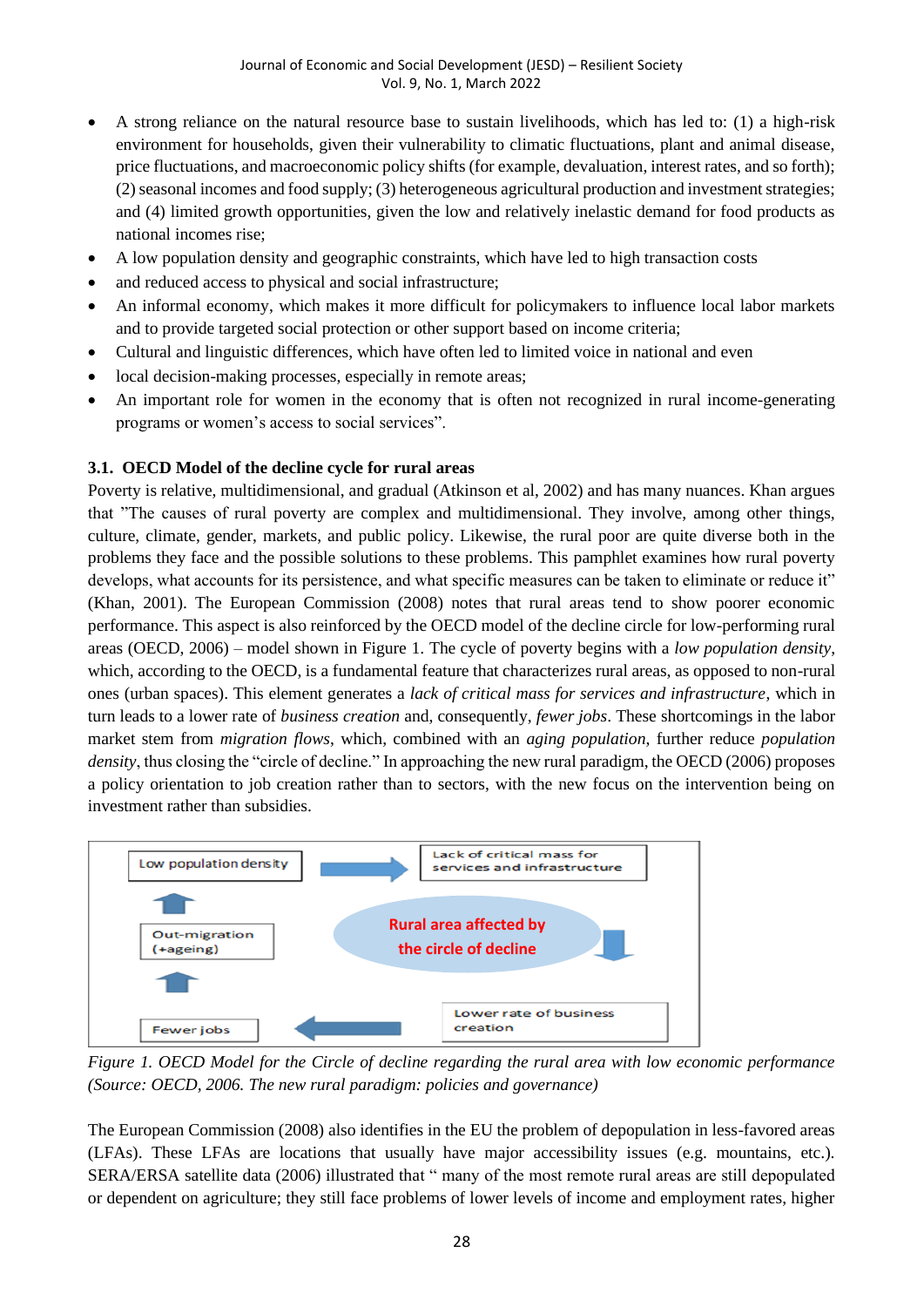- A strong reliance on the natural resource base to sustain livelihoods, which has led to: (1) a high-risk environment for households, given their vulnerability to climatic fluctuations, plant and animal disease, price fluctuations, and macroeconomic policy shifts (for example, devaluation, interest rates, and so forth); (2) seasonal incomes and food supply; (3) heterogeneous agricultural production and investment strategies; and (4) limited growth opportunities, given the low and relatively inelastic demand for food products as national incomes rise;
- A low population density and geographic constraints, which have led to high transaction costs
- and reduced access to physical and social infrastructure;
- An informal economy, which makes it more difficult for policymakers to influence local labor markets and to provide targeted social protection or other support based on income criteria;
- Cultural and linguistic differences, which have often led to limited voice in national and even
- local decision-making processes, especially in remote areas;
- An important role for women in the economy that is often not recognized in rural income-generating programs or women's access to social services".

#### **3.1. OECD Model of the decline cycle for rural areas**

Poverty is relative, multidimensional, and gradual (Atkinson et al, 2002) and has many nuances. Khan argues that "The causes of rural poverty are complex and multidimensional. They involve, among other things, culture, climate, gender, markets, and public policy. Likewise, the rural poor are quite diverse both in the problems they face and the possible solutions to these problems. This pamphlet examines how rural poverty develops, what accounts for its persistence, and what specific measures can be taken to eliminate or reduce it" (Khan, 2001). The European Commission (2008) notes that rural areas tend to show poorer economic performance. This aspect is also reinforced by the OECD model of the decline circle for low-performing rural areas (OECD, 2006) – model shown in Figure 1. The cycle of poverty begins with a *low population density*, which, according to the OECD, is a fundamental feature that characterizes rural areas, as opposed to non-rural ones (urban spaces). This element generates a *lack of critical mass for services and infrastructure*, which in turn leads to a lower rate of *business creation* and, consequently, *fewer jobs*. These shortcomings in the labor market stem from *migration flows*, which, combined with an *aging population*, further reduce *population density*, thus closing the "circle of decline." In approaching the new rural paradigm, the OECD (2006) proposes a policy orientation to job creation rather than to sectors, with the new focus on the intervention being on investment rather than subsidies.



*Figure 1. OECD Model for the Circle of decline regarding the rural area with low economic performance (Source: OECD, 2006. The new rural paradigm: policies and governance)*

The European Commission (2008) also identifies in the EU the problem of depopulation in less-favored areas (LFAs). These LFAs are locations that usually have major accessibility issues (e.g. mountains, etc.). SERA/ERSA satellite data (2006) illustrated that " many of the most remote rural areas are still depopulated or dependent on agriculture; they still face problems of lower levels of income and employment rates, higher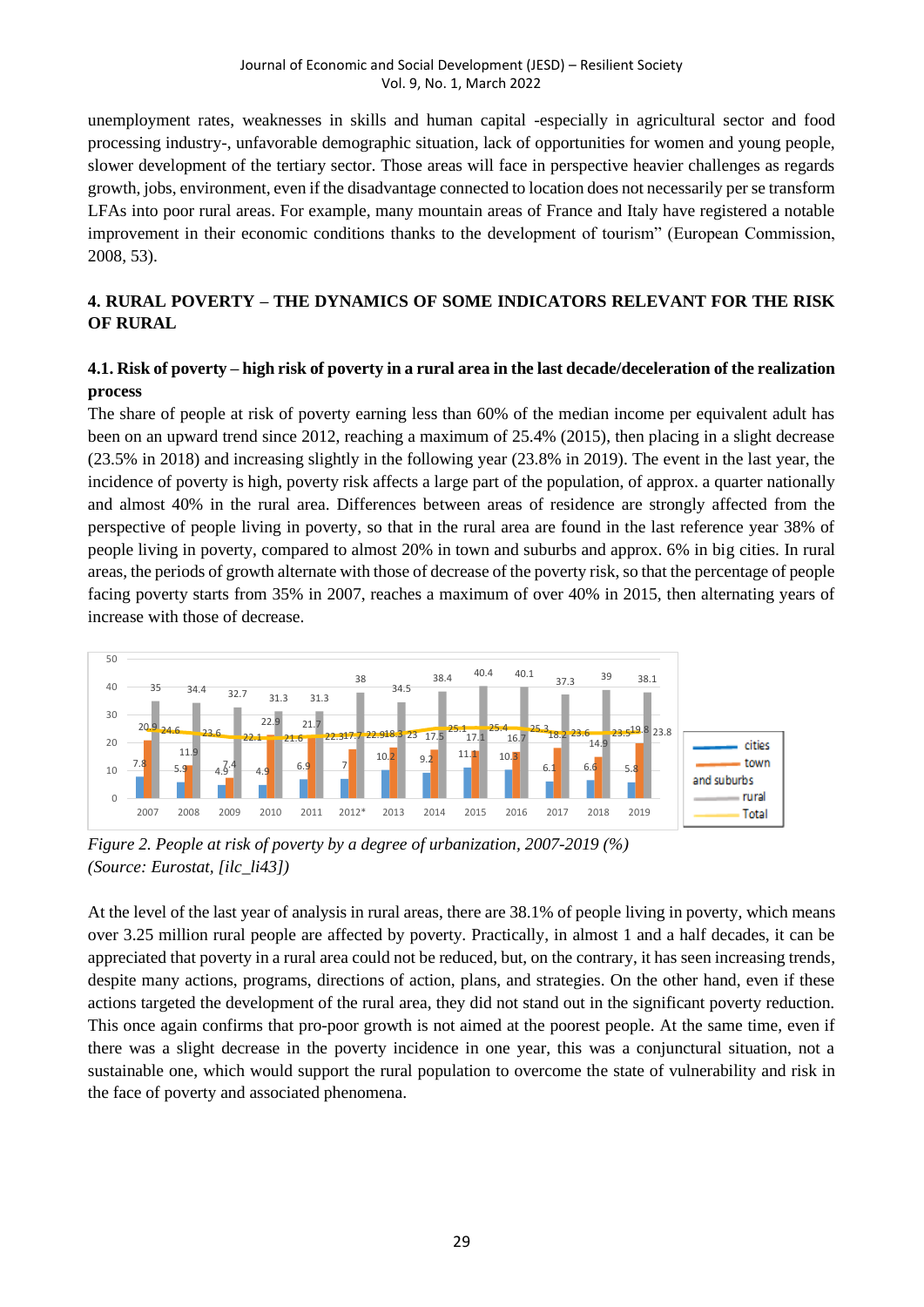unemployment rates, weaknesses in skills and human capital -especially in agricultural sector and food processing industry-, unfavorable demographic situation, lack of opportunities for women and young people, slower development of the tertiary sector. Those areas will face in perspective heavier challenges as regards growth, jobs, environment, even if the disadvantage connected to location does not necessarily per se transform LFAs into poor rural areas. For example, many mountain areas of France and Italy have registered a notable improvement in their economic conditions thanks to the development of tourism" (European Commission, 2008, 53).

# **4. RURAL POVERTY – THE DYNAMICS OF SOME INDICATORS RELEVANT FOR THE RISK OF RURAL**

### **4.1. Risk of poverty – high risk of poverty in a rural area in the last decade/deceleration of the realization process**

The share of people at risk of poverty earning less than 60% of the median income per equivalent adult has been on an upward trend since 2012, reaching a maximum of 25.4% (2015), then placing in a slight decrease (23.5% in 2018) and increasing slightly in the following year (23.8% in 2019). The event in the last year, the incidence of poverty is high, poverty risk affects a large part of the population, of approx. a quarter nationally and almost 40% in the rural area. Differences between areas of residence are strongly affected from the perspective of people living in poverty, so that in the rural area are found in the last reference year 38% of people living in poverty, compared to almost 20% in town and suburbs and approx. 6% in big cities. In rural areas, the periods of growth alternate with those of decrease of the poverty risk, so that the percentage of people facing poverty starts from 35% in 2007, reaches a maximum of over 40% in 2015, then alternating years of increase with those of decrease.



*Figure 2. People at risk of poverty by a degree of urbanization, 2007-2019 (%) (Source: Eurostat, [ilc\_li43])*

At the level of the last year of analysis in rural areas, there are 38.1% of people living in poverty, which means over 3.25 million rural people are affected by poverty. Practically, in almost 1 and a half decades, it can be appreciated that poverty in a rural area could not be reduced, but, on the contrary, it has seen increasing trends, despite many actions, programs, directions of action, plans, and strategies. On the other hand, even if these actions targeted the development of the rural area, they did not stand out in the significant poverty reduction. This once again confirms that pro-poor growth is not aimed at the poorest people. At the same time, even if there was a slight decrease in the poverty incidence in one year, this was a conjunctural situation, not a sustainable one, which would support the rural population to overcome the state of vulnerability and risk in the face of poverty and associated phenomena.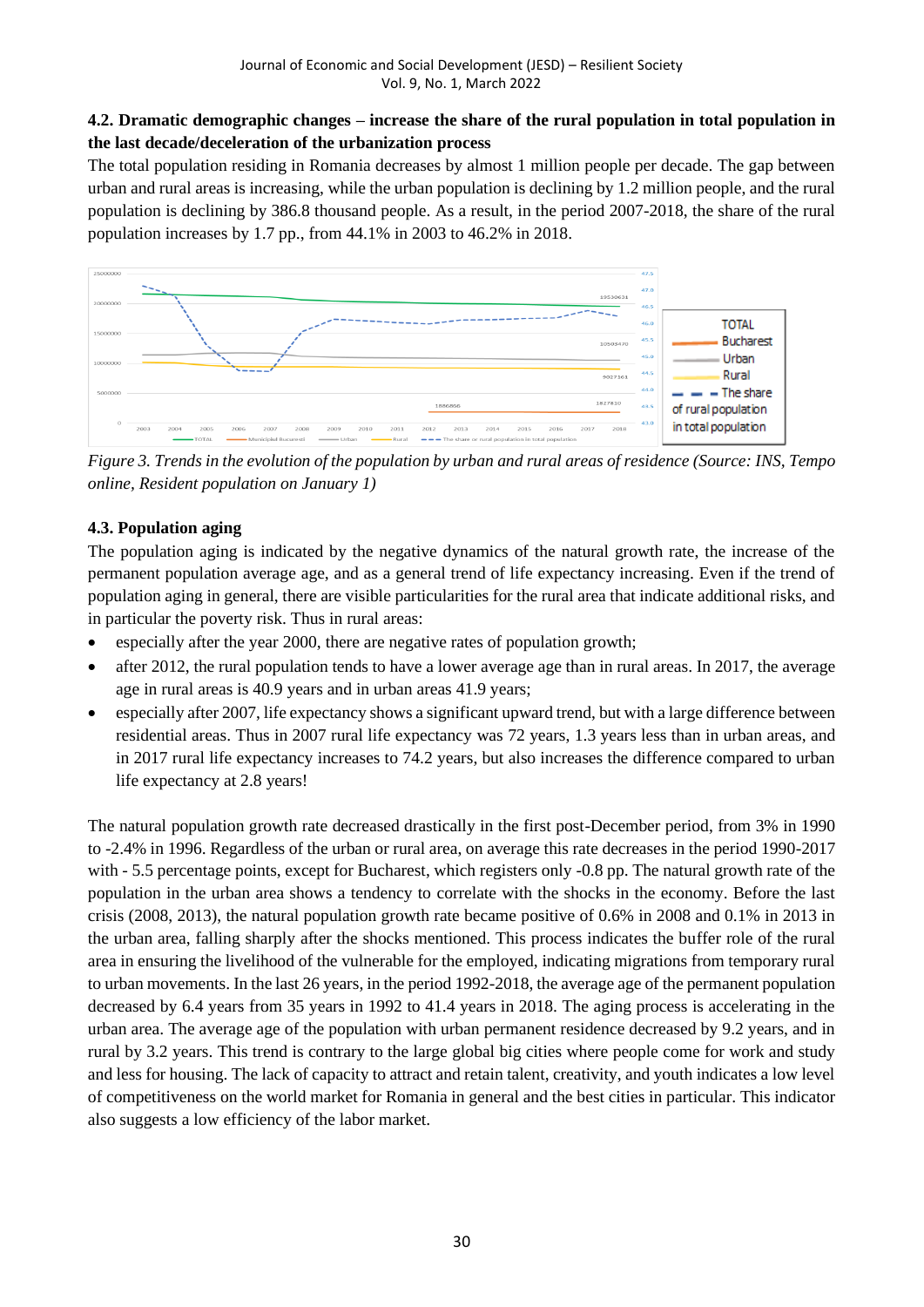# **4.2. Dramatic demographic changes – increase the share of the rural population in total population in the last decade/deceleration of the urbanization process**

The total population residing in Romania decreases by almost 1 million people per decade. The gap between urban and rural areas is increasing, while the urban population is declining by 1.2 million people, and the rural population is declining by 386.8 thousand people. As a result, in the period 2007-2018, the share of the rural population increases by 1.7 pp., from 44.1% in 2003 to 46.2% in 2018.



*Figure 3. Trends in the evolution of the population by urban and rural areas of residence (Source: INS, Tempo online, Resident population on January 1)*

# **4.3. Population aging**

The population aging is indicated by the negative dynamics of the natural growth rate, the increase of the permanent population average age, and as a general trend of life expectancy increasing. Even if the trend of population aging in general, there are visible particularities for the rural area that indicate additional risks, and in particular the poverty risk. Thus in rural areas:

- especially after the year 2000, there are negative rates of population growth;
- after 2012, the rural population tends to have a lower average age than in rural areas. In 2017, the average age in rural areas is 40.9 years and in urban areas 41.9 years;
- especially after 2007, life expectancy shows a significant upward trend, but with a large difference between residential areas. Thus in 2007 rural life expectancy was 72 years, 1.3 years less than in urban areas, and in 2017 rural life expectancy increases to 74.2 years, but also increases the difference compared to urban life expectancy at 2.8 years!

The natural population growth rate decreased drastically in the first post-December period, from 3% in 1990 to -2.4% in 1996. Regardless of the urban or rural area, on average this rate decreases in the period 1990-2017 with - 5.5 percentage points, except for Bucharest, which registers only -0.8 pp. The natural growth rate of the population in the urban area shows a tendency to correlate with the shocks in the economy. Before the last crisis (2008, 2013), the natural population growth rate became positive of 0.6% in 2008 and 0.1% in 2013 in the urban area, falling sharply after the shocks mentioned. This process indicates the buffer role of the rural area in ensuring the livelihood of the vulnerable for the employed, indicating migrations from temporary rural to urban movements. In the last 26 years, in the period 1992-2018, the average age of the permanent population decreased by 6.4 years from 35 years in 1992 to 41.4 years in 2018. The aging process is accelerating in the urban area. The average age of the population with urban permanent residence decreased by 9.2 years, and in rural by 3.2 years. This trend is contrary to the large global big cities where people come for work and study and less for housing. The lack of capacity to attract and retain talent, creativity, and youth indicates a low level of competitiveness on the world market for Romania in general and the best cities in particular. This indicator also suggests a low efficiency of the labor market.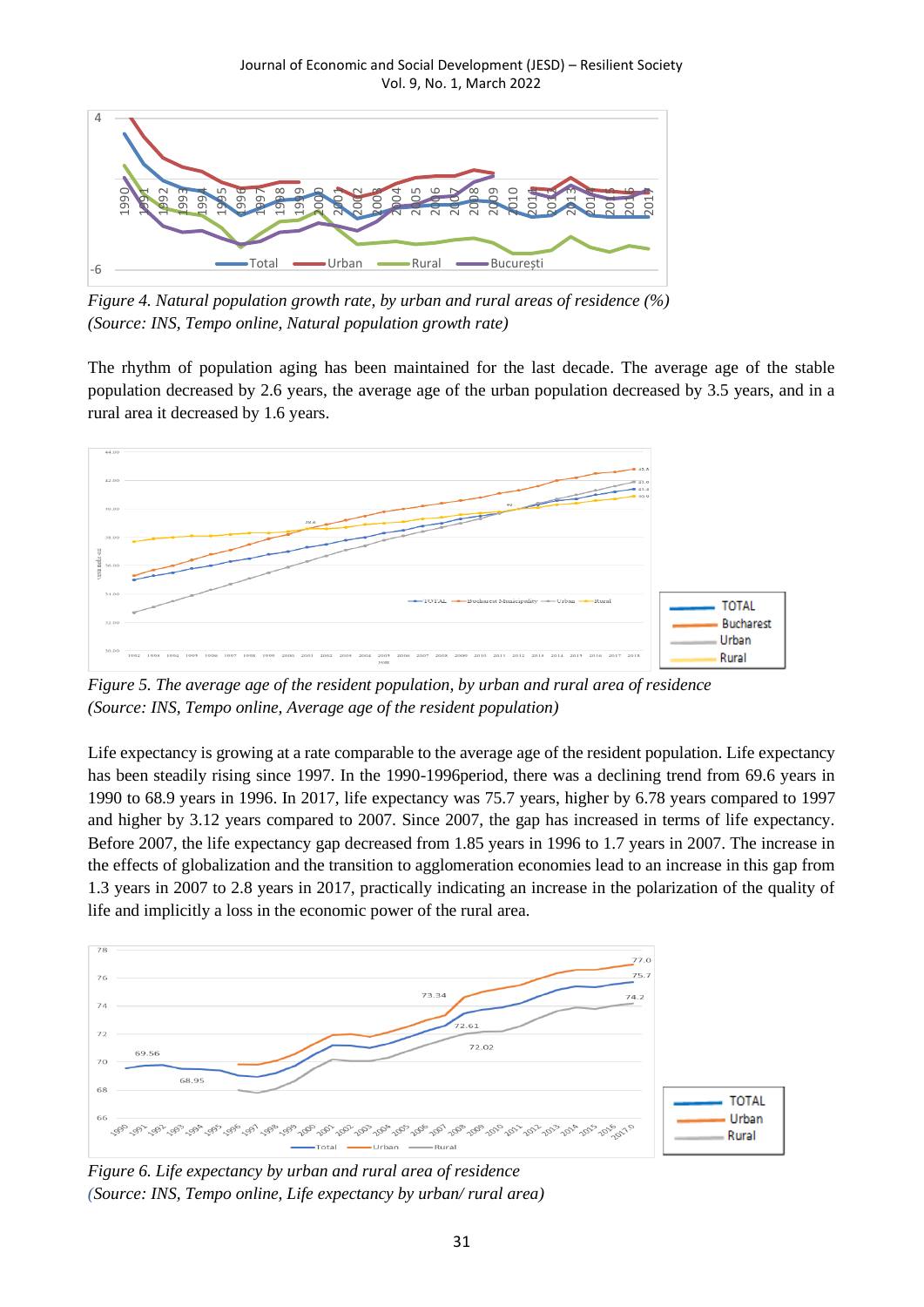

*Figure 4. Natural population growth rate, by urban and rural areas of residence (%) (Source: INS, Tempo online, Natural population growth rate)*

The rhythm of population aging has been maintained for the last decade. The average age of the stable population decreased by 2.6 years, the average age of the urban population decreased by 3.5 years, and in a rural area it decreased by 1.6 years.



*Figure 5. The average age of the resident population, by urban and rural area of residence (Source: INS, Tempo online, Average age of the resident population)*

Life expectancy is growing at a rate comparable to the average age of the resident population. Life expectancy has been steadily rising since 1997. In the 1990-1996 period, there was a declining trend from 69.6 years in 1990 to 68.9 years in 1996. In 2017, life expectancy was 75.7 years, higher by 6.78 years compared to 1997 and higher by 3.12 years compared to 2007. Since 2007, the gap has increased in terms of life expectancy. Before 2007, the life expectancy gap decreased from 1.85 years in 1996 to 1.7 years in 2007. The increase in the effects of globalization and the transition to agglomeration economies lead to an increase in this gap from 1.3 years in 2007 to 2.8 years in 2017, practically indicating an increase in the polarization of the quality of life and implicitly a loss in the economic power of the rural area.



*Figure 6. Life expectancy by urban and rural area of residence (Source: INS, Tempo online, Life expectancy by urban/ rural area)*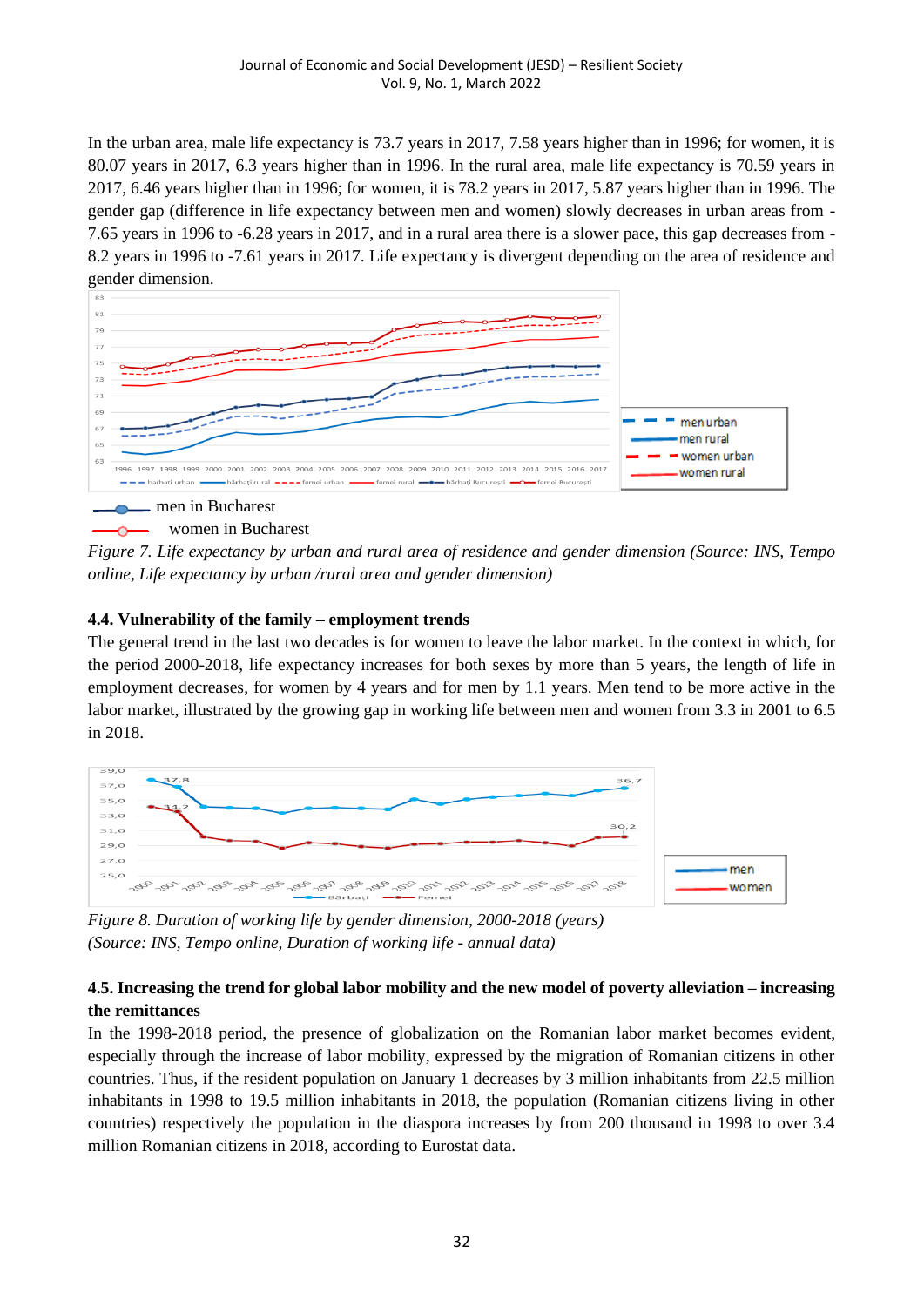In the urban area, male life expectancy is 73.7 years in 2017, 7.58 years higher than in 1996; for women, it is 80.07 years in 2017, 6.3 years higher than in 1996. In the rural area, male life expectancy is 70.59 years in 2017, 6.46 years higher than in 1996; for women, it is 78.2 years in 2017, 5.87 years higher than in 1996. The gender gap (difference in life expectancy between men and women) slowly decreases in urban areas from - 7.65 years in 1996 to -6.28 years in 2017, and in a rural area there is a slower pace, this gap decreases from - 8.2 years in 1996 to -7.61 years in 2017. Life expectancy is divergent depending on the area of residence and gender dimension.



#### women in Bucharest

*Figure 7. Life expectancy by urban and rural area of residence and gender dimension (Source: INS, Tempo online, Life expectancy by urban /rural area and gender dimension)*

#### **4.4. Vulnerability of the family – employment trends**

The general trend in the last two decades is for women to leave the labor market. In the context in which, for the period 2000-2018, life expectancy increases for both sexes by more than 5 years, the length of life in employment decreases, for women by 4 years and for men by 1.1 years. Men tend to be more active in the labor market, illustrated by the growing gap in working life between men and women from 3.3 in 2001 to 6.5 in 2018.



*Figure 8. Duration of working life by gender dimension, 2000-2018 (years) (Source: INS, Tempo online, Duration of working life - annual data)*

# **4.5. Increasing the trend for global labor mobility and the new model of poverty alleviation – increasing the remittances**

In the 1998-2018 period, the presence of globalization on the Romanian labor market becomes evident, especially through the increase of labor mobility, expressed by the migration of Romanian citizens in other countries. Thus, if the resident population on January 1 decreases by 3 million inhabitants from 22.5 million inhabitants in 1998 to 19.5 million inhabitants in 2018, the population (Romanian citizens living in other countries) respectively the population in the diaspora increases by from 200 thousand in 1998 to over 3.4 million Romanian citizens in 2018, according to Eurostat data.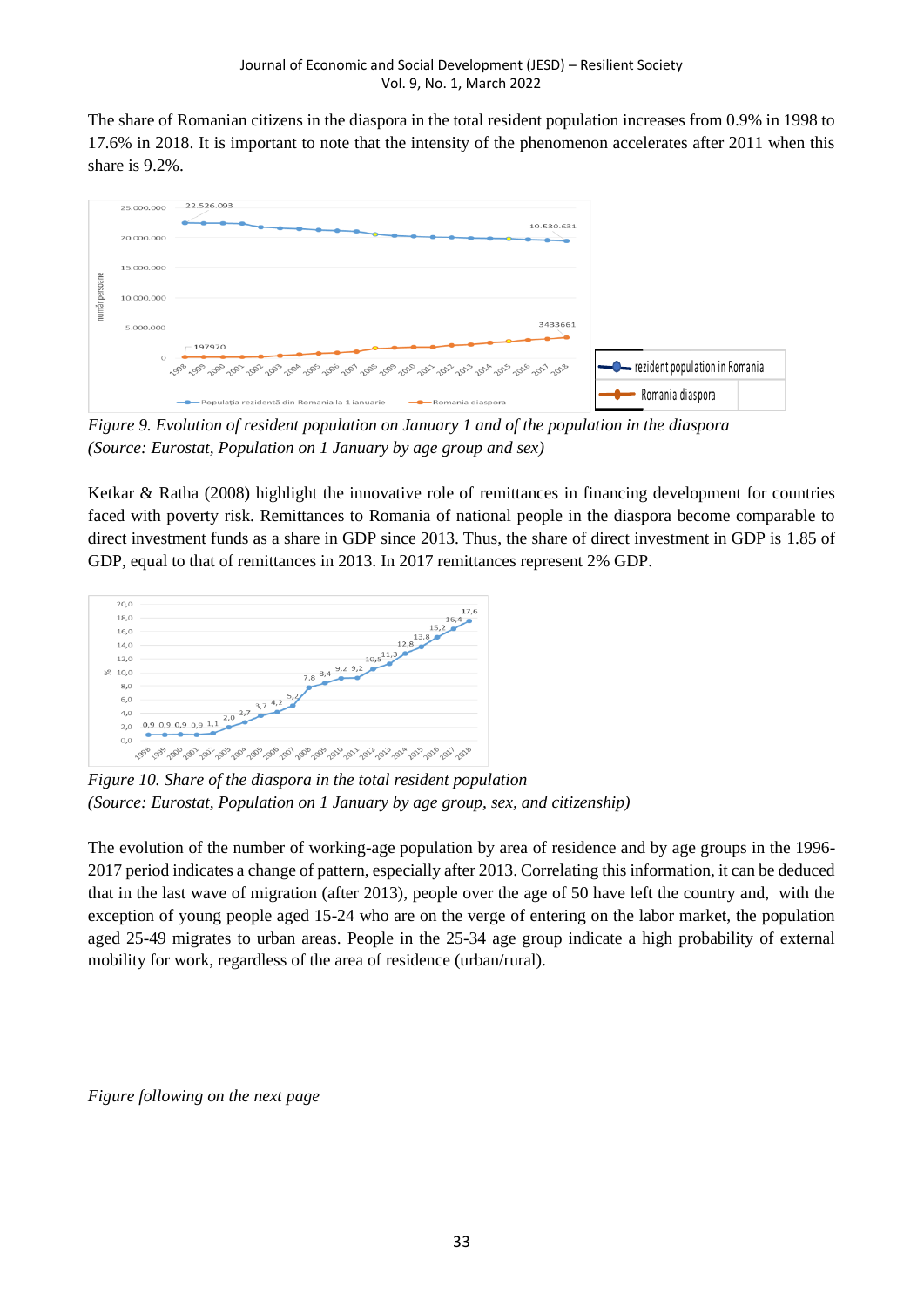The share of Romanian citizens in the diaspora in the total resident population increases from 0.9% in 1998 to 17.6% in 2018. It is important to note that the intensity of the phenomenon accelerates after 2011 when this share is 9.2%.



*Figure 9. Evolution of resident population on January 1 and of the population in the diaspora (Source: Eurostat, Population on 1 January by age group and sex)*

Ketkar & Ratha (2008) highlight the innovative role of remittances in financing development for countries faced with poverty risk. Remittances to Romania of national people in the diaspora become comparable to direct investment funds as a share in GDP since 2013. Thus, the share of direct investment in GDP is 1.85 of GDP, equal to that of remittances in 2013. In 2017 remittances represent 2% GDP.



*Figure 10. Share of the diaspora in the total resident population (Source: Eurostat, Population on 1 January by age group, sex, and citizenship)*

The evolution of the number of working-age population by area of residence and by age groups in the 1996- 2017 period indicates a change of pattern, especially after 2013. Correlating this information, it can be deduced that in the last wave of migration (after 2013), people over the age of 50 have left the country and, with the exception of young people aged 15-24 who are on the verge of entering on the labor market, the population aged 25-49 migrates to urban areas. People in the 25-34 age group indicate a high probability of external mobility for work, regardless of the area of residence (urban/rural).

*Figure following on the next page*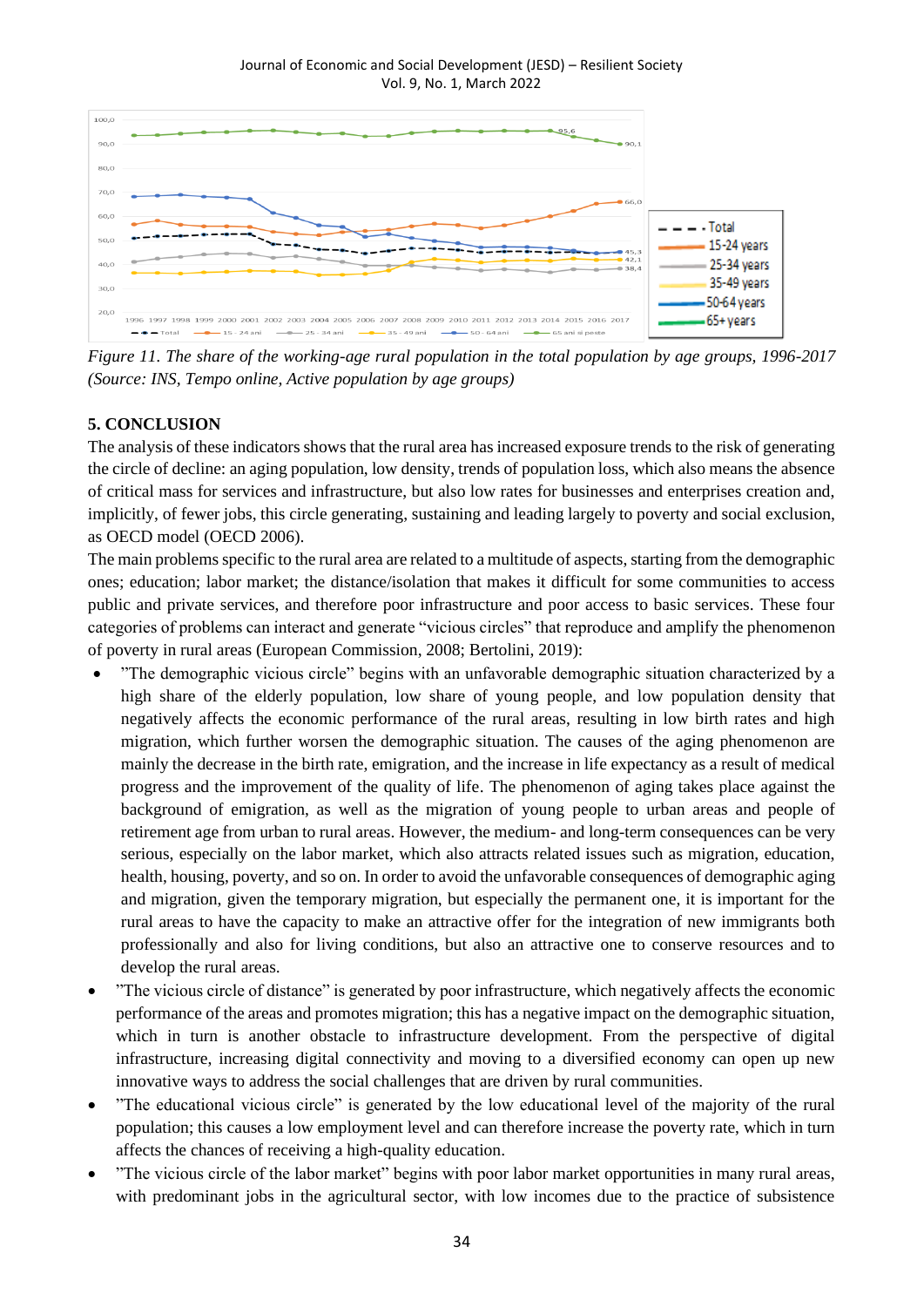#### Journal of Economic and Social Development (JESD) – Resilient Society Vol. 9, No. 1, March 2022



*Figure 11. The share of the working-age rural population in the total population by age groups, 1996-2017 (Source: INS, Tempo online, Active population by age groups)*

# **5. CONCLUSION**

The analysis of these indicators shows that the rural area has increased exposure trends to the risk of generating the circle of decline: an aging population, low density, trends of population loss, which also means the absence of critical mass for services and infrastructure, but also low rates for businesses and enterprises creation and, implicitly, of fewer jobs, this circle generating, sustaining and leading largely to poverty and social exclusion, as OECD model (OECD 2006).

The main problems specific to the rural area are related to a multitude of aspects, starting from the demographic ones; education; labor market; the distance/isolation that makes it difficult for some communities to access public and private services, and therefore poor infrastructure and poor access to basic services. These four categories of problems can interact and generate "vicious circles" that reproduce and amplify the phenomenon of poverty in rural areas (European Commission, 2008; Bertolini, 2019):

- "The demographic vicious circle" begins with an unfavorable demographic situation characterized by a high share of the elderly population, low share of young people, and low population density that negatively affects the economic performance of the rural areas, resulting in low birth rates and high migration, which further worsen the demographic situation. The causes of the aging phenomenon are mainly the decrease in the birth rate, emigration, and the increase in life expectancy as a result of medical progress and the improvement of the quality of life. The phenomenon of aging takes place against the background of emigration, as well as the migration of young people to urban areas and people of retirement age from urban to rural areas. However, the medium- and long-term consequences can be very serious, especially on the labor market, which also attracts related issues such as migration, education, health, housing, poverty, and so on. In order to avoid the unfavorable consequences of demographic aging and migration, given the temporary migration, but especially the permanent one, it is important for the rural areas to have the capacity to make an attractive offer for the integration of new immigrants both professionally and also for living conditions, but also an attractive one to conserve resources and to develop the rural areas.
- "The vicious circle of distance" is generated by poor infrastructure, which negatively affects the economic performance of the areas and promotes migration; this has a negative impact on the demographic situation, which in turn is another obstacle to infrastructure development. From the perspective of digital infrastructure, increasing digital connectivity and moving to a diversified economy can open up new innovative ways to address the social challenges that are driven by rural communities.
- "The educational vicious circle" is generated by the low educational level of the majority of the rural population; this causes a low employment level and can therefore increase the poverty rate, which in turn affects the chances of receiving a high-quality education.
- "The vicious circle of the labor market" begins with poor labor market opportunities in many rural areas, with predominant jobs in the agricultural sector, with low incomes due to the practice of subsistence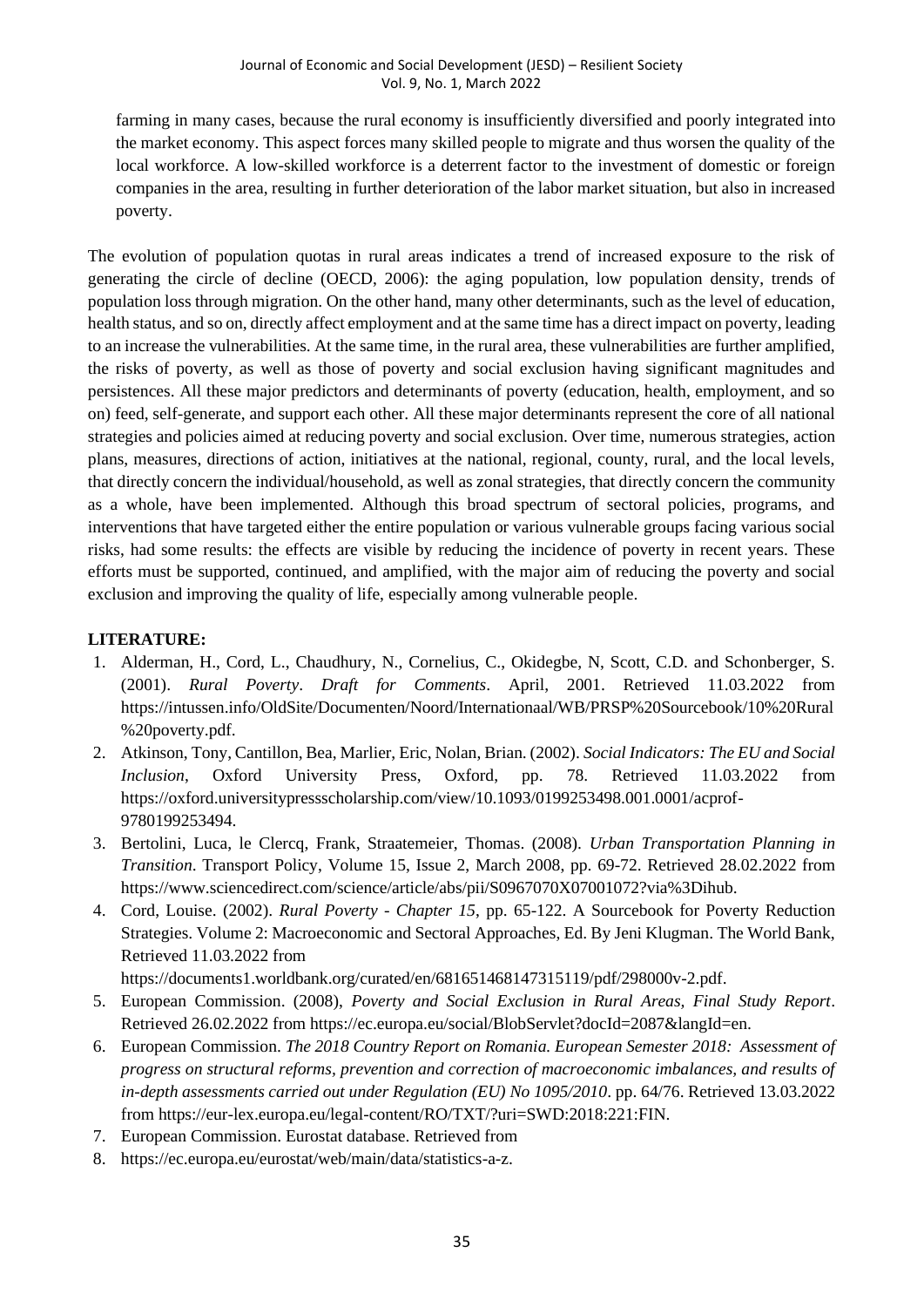farming in many cases, because the rural economy is insufficiently diversified and poorly integrated into the market economy. This aspect forces many skilled people to migrate and thus worsen the quality of the local workforce. A low-skilled workforce is a deterrent factor to the investment of domestic or foreign companies in the area, resulting in further deterioration of the labor market situation, but also in increased poverty.

The evolution of population quotas in rural areas indicates a trend of increased exposure to the risk of generating the circle of decline (OECD, 2006): the aging population, low population density, trends of population loss through migration. On the other hand, many other determinants, such as the level of education, health status, and so on, directly affect employment and at the same time has a direct impact on poverty, leading to an increase the vulnerabilities. At the same time, in the rural area, these vulnerabilities are further amplified, the risks of poverty, as well as those of poverty and social exclusion having significant magnitudes and persistences. All these major predictors and determinants of poverty (education, health, employment, and so on) feed, self-generate, and support each other. All these major determinants represent the core of all national strategies and policies aimed at reducing poverty and social exclusion. Over time, numerous strategies, action plans, measures, directions of action, initiatives at the national, regional, county, rural, and the local levels, that directly concern the individual/household, as well as zonal strategies, that directly concern the community as a whole, have been implemented. Although this broad spectrum of sectoral policies, programs, and interventions that have targeted either the entire population or various vulnerable groups facing various social risks, had some results: the effects are visible by reducing the incidence of poverty in recent years. These efforts must be supported, continued, and amplified, with the major aim of reducing the poverty and social exclusion and improving the quality of life, especially among vulnerable people.

# **LITERATURE:**

- 1. Alderman, H., Cord, L., Chaudhury, N., Cornelius, C., Okidegbe, N, Scott, C.D. and Schonberger, S. (2001). *Rural Poverty*. *Draft for Comments*. April, 2001. Retrieved 11.03.2022 from https://intussen.info/OldSite/Documenten/Noord/Internationaal/WB/PRSP%20Sourcebook/10%20Rural %20poverty.pdf.
- 2. Atkinson, Tony, Cantillon, Bea, Marlier, Eric, Nolan, Brian. (2002). *Social Indicators: The EU and Social Inclusion*, Oxford University Press, Oxford, pp. 78. Retrieved 11.03.2022 from https://oxford.universitypressscholarship.com/view/10.1093/0199253498.001.0001/acprof-9780199253494.
- 3. Bertolini, Luca, le Clercq, Frank, Straatemeier, Thomas. (2008). *Urban Transportation Planning in Transition*. Transport Policy, Volume 15, Issue 2, March 2008, pp. 69-72. Retrieved 28.02.2022 from https://www.sciencedirect.com/science/article/abs/pii/S0967070X07001072?via%3Dihub.
- 4. Cord, Louise. (2002). *Rural Poverty - Chapter 15*, pp. 65-122. A Sourcebook for Poverty Reduction Strategies. Volume 2: Macroeconomic and Sectoral Approaches, Ed. By Jeni Klugman. The World Bank, Retrieved 11.03.2022 from

https://documents1.worldbank.org/curated/en/681651468147315119/pdf/298000v-2.pdf.

- 5. European Commission. (2008), *Poverty and Social Exclusion in Rural Areas, Final Study Report*. Retrieved 26.02.2022 from https://ec.europa.eu/social/BlobServlet?docId=2087&langId=en.
- 6. European Commission. *The 2018 Country Report on Romania. European Semester 2018: Assessment of progress on structural reforms, prevention and correction of macroeconomic imbalances, and results of in-depth assessments carried out under Regulation (EU) No 1095/2010*. pp. 64/76. Retrieved 13.03.2022 from https://eur-lex.europa.eu/legal-content/RO/TXT/?uri=SWD:2018:221:FIN.
- 7. European Commission. Eurostat database. Retrieved from
- 8. https://ec.europa.eu/eurostat/web/main/data/statistics-a-z.